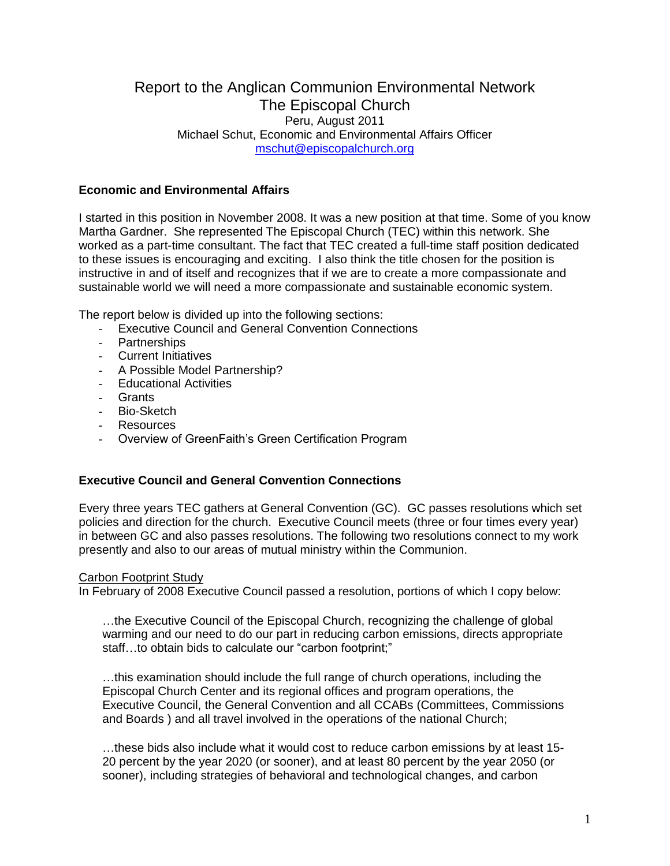# Report to the Anglican Communion Environmental Network The Episcopal Church Peru, August 2011 Michael Schut, Economic and Environmental Affairs Officer [mschut@episcopalchurch.org](mailto:mschut@episcopalchurch.org)

# **Economic and Environmental Affairs**

I started in this position in November 2008. It was a new position at that time. Some of you know Martha Gardner. She represented The Episcopal Church (TEC) within this network. She worked as a part-time consultant. The fact that TEC created a full-time staff position dedicated to these issues is encouraging and exciting. I also think the title chosen for the position is instructive in and of itself and recognizes that if we are to create a more compassionate and sustainable world we will need a more compassionate and sustainable economic system.

The report below is divided up into the following sections:

- Executive Council and General Convention Connections
- Partnerships
- Current Initiatives
- A Possible Model Partnership?
- Educational Activities
- Grants
- Bio-Sketch
- Resources
- Overview of GreenFaith's Green Certification Program

## **Executive Council and General Convention Connections**

Every three years TEC gathers at General Convention (GC). GC passes resolutions which set policies and direction for the church. Executive Council meets (three or four times every year) in between GC and also passes resolutions. The following two resolutions connect to my work presently and also to our areas of mutual ministry within the Communion.

### Carbon Footprint Study

In February of 2008 Executive Council passed a resolution, portions of which I copy below:

…the Executive Council of the Episcopal Church, recognizing the challenge of global warming and our need to do our part in reducing carbon emissions, directs appropriate staff...to obtain bids to calculate our "carbon footprint;"

…this examination should include the full range of church operations, including the Episcopal Church Center and its regional offices and program operations, the Executive Council, the General Convention and all CCABs (Committees, Commissions and Boards ) and all travel involved in the operations of the national Church;

…these bids also include what it would cost to reduce carbon emissions by at least 15- 20 percent by the year 2020 (or sooner), and at least 80 percent by the year 2050 (or sooner), including strategies of behavioral and technological changes, and carbon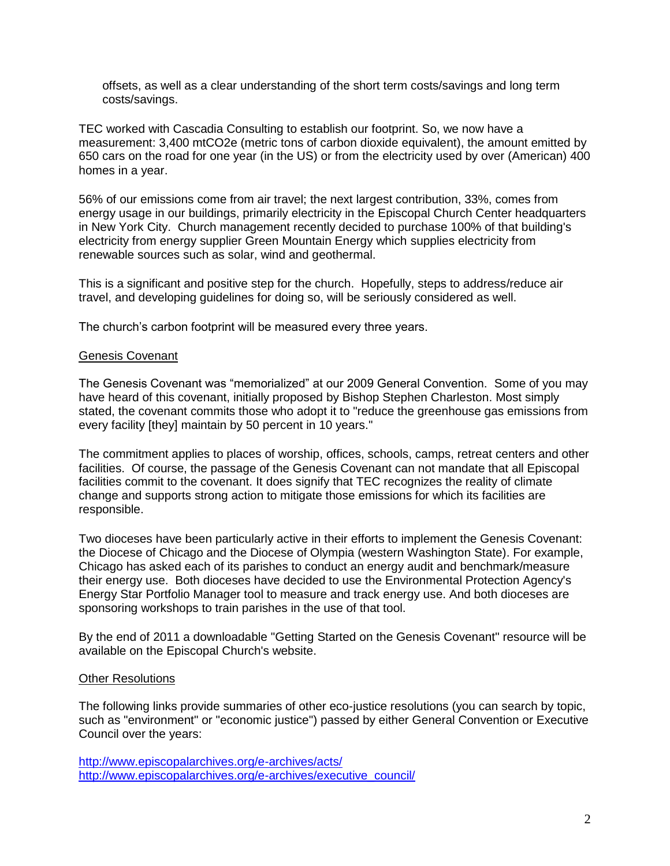offsets, as well as a clear understanding of the short term costs/savings and long term costs/savings.

TEC worked with Cascadia Consulting to establish our footprint. So, we now have a measurement: 3,400 mtCO2e (metric tons of carbon dioxide equivalent), the amount emitted by 650 cars on the road for one year (in the US) or from the electricity used by over (American) 400 homes in a year.

56% of our emissions come from air travel; the next largest contribution, 33%, comes from energy usage in our buildings, primarily electricity in the Episcopal Church Center headquarters in New York City. Church management recently decided to purchase 100% of that building's electricity from energy supplier Green Mountain Energy which supplies electricity from renewable sources such as solar, wind and geothermal.

This is a significant and positive step for the church. Hopefully, steps to address/reduce air travel, and developing guidelines for doing so, will be seriously considered as well.

The church's carbon footprint will be measured every three years.

## Genesis Covenant

The Genesis Covenant was "memorialized" at our 2009 General Convention. Some of you may have heard of this covenant, initially proposed by Bishop Stephen Charleston. Most simply stated, the covenant commits those who adopt it to "reduce the greenhouse gas emissions from every facility [they] maintain by 50 percent in 10 years."

The commitment applies to places of worship, offices, schools, camps, retreat centers and other facilities. Of course, the passage of the Genesis Covenant can not mandate that all Episcopal facilities commit to the covenant. It does signify that TEC recognizes the reality of climate change and supports strong action to mitigate those emissions for which its facilities are responsible.

Two dioceses have been particularly active in their efforts to implement the Genesis Covenant: the Diocese of Chicago and the Diocese of Olympia (western Washington State). For example, Chicago has asked each of its parishes to conduct an energy audit and benchmark/measure their energy use. Both dioceses have decided to use the Environmental Protection Agency's Energy Star Portfolio Manager tool to measure and track energy use. And both dioceses are sponsoring workshops to train parishes in the use of that tool.

By the end of 2011 a downloadable "Getting Started on the Genesis Covenant" resource will be available on the Episcopal Church's website.

### Other Resolutions

The following links provide summaries of other eco-justice resolutions (you can search by topic, such as "environment" or "economic justice") passed by either General Convention or Executive Council over the years:

<http://www.episcopalarchives.org/e-archives/acts/> [http://www.episcopalarchives.org/e-archives/executive\\_council/](http://www.episcopalarchives.org/e-archives/executive_council/)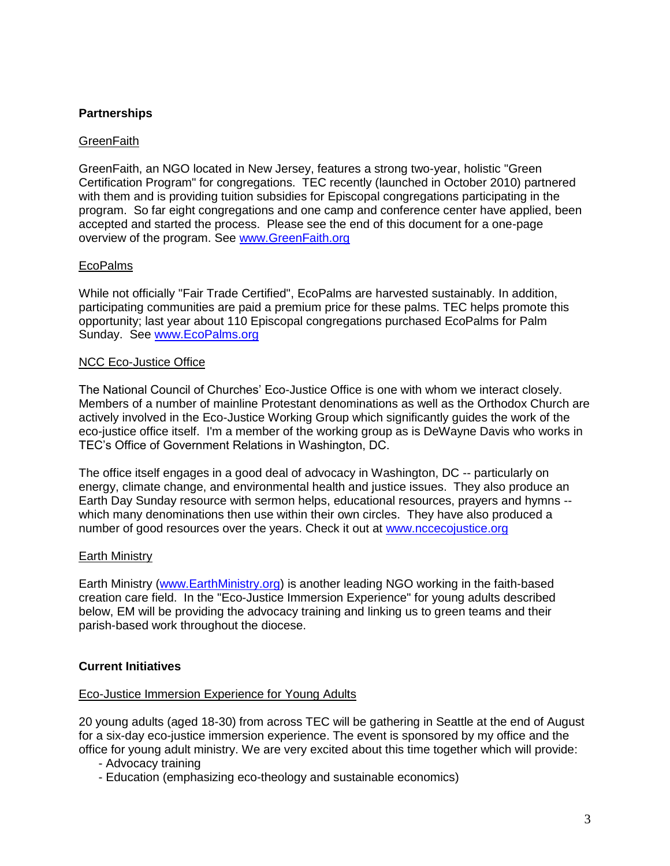# **Partnerships**

## **GreenFaith**

GreenFaith, an NGO located in New Jersey, features a strong two-year, holistic "Green Certification Program" for congregations. TEC recently (launched in October 2010) partnered with them and is providing tuition subsidies for Episcopal congregations participating in the program. So far eight congregations and one camp and conference center have applied, been accepted and started the process. Please see the end of this document for a one-page overview of the program. See [www.GreenFaith.org](http://www.greenfaith.org/)

## EcoPalms

While not officially "Fair Trade Certified", EcoPalms are harvested sustainably. In addition, participating communities are paid a premium price for these palms. TEC helps promote this opportunity; last year about 110 Episcopal congregations purchased EcoPalms for Palm Sunday. See [www.EcoPalms.org](http://www.ecopalms.org/)

### NCC Eco-Justice Office

The National Council of Churches' Eco-Justice Office is one with whom we interact closely. Members of a number of mainline Protestant denominations as well as the Orthodox Church are actively involved in the Eco-Justice Working Group which significantly guides the work of the eco-justice office itself. I'm a member of the working group as is DeWayne Davis who works in TEC's Office of Government Relations in Washington, DC.

The office itself engages in a good deal of advocacy in Washington, DC -- particularly on energy, climate change, and environmental health and justice issues. They also produce an Earth Day Sunday resource with sermon helps, educational resources, prayers and hymns - which many denominations then use within their own circles. They have also produced a number of good resources over the years. Check it out at [www.nccecojustice.org](http://www.nccecojustice.org/)

## Earth Ministry

Earth Ministry [\(www.EarthMinistry.org\)](http://www.earthministry.org/) is another leading NGO working in the faith-based creation care field. In the "Eco-Justice Immersion Experience" for young adults described below, EM will be providing the advocacy training and linking us to green teams and their parish-based work throughout the diocese.

## **Current Initiatives**

### Eco-Justice Immersion Experience for Young Adults

20 young adults (aged 18-30) from across TEC will be gathering in Seattle at the end of August for a six-day eco-justice immersion experience. The event is sponsored by my office and the office for young adult ministry. We are very excited about this time together which will provide:

- Advocacy training
- Education (emphasizing eco-theology and sustainable economics)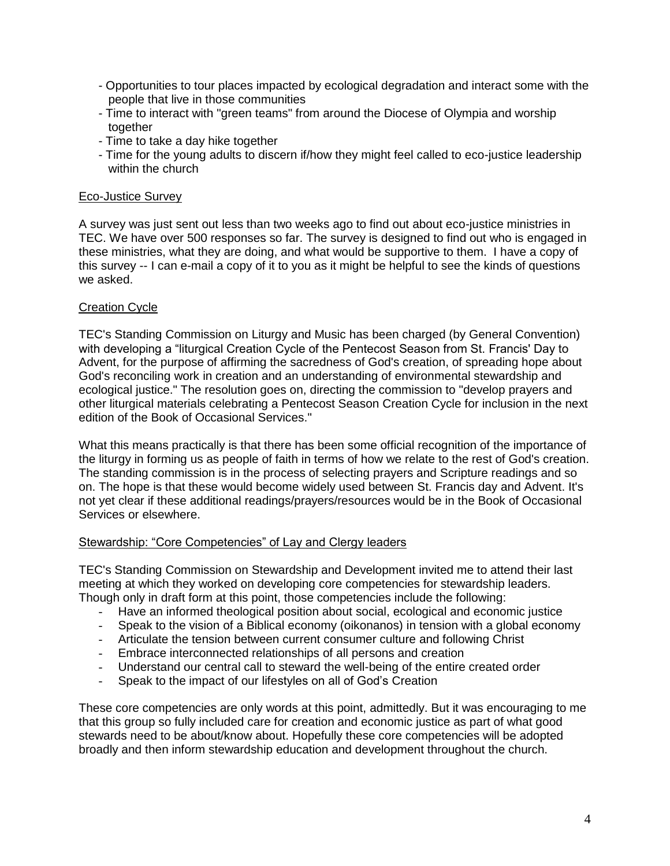- Opportunities to tour places impacted by ecological degradation and interact some with the people that live in those communities
- Time to interact with "green teams" from around the Diocese of Olympia and worship together
- Time to take a day hike together
- Time for the young adults to discern if/how they might feel called to eco-justice leadership within the church

## Eco-Justice Survey

A survey was just sent out less than two weeks ago to find out about eco-justice ministries in TEC. We have over 500 responses so far. The survey is designed to find out who is engaged in these ministries, what they are doing, and what would be supportive to them. I have a copy of this survey -- I can e-mail a copy of it to you as it might be helpful to see the kinds of questions we asked.

## Creation Cycle

TEC's Standing Commission on Liturgy and Music has been charged (by General Convention) with developing a "liturgical Creation Cycle of the Pentecost Season from St. Francis' Day to Advent, for the purpose of affirming the sacredness of God's creation, of spreading hope about God's reconciling work in creation and an understanding of environmental stewardship and ecological justice." The resolution goes on, directing the commission to "develop prayers and other liturgical materials celebrating a Pentecost Season Creation Cycle for inclusion in the next edition of the Book of Occasional Services."

What this means practically is that there has been some official recognition of the importance of the liturgy in forming us as people of faith in terms of how we relate to the rest of God's creation. The standing commission is in the process of selecting prayers and Scripture readings and so on. The hope is that these would become widely used between St. Francis day and Advent. It's not yet clear if these additional readings/prayers/resources would be in the Book of Occasional Services or elsewhere.

### Stewardship: "Core Competencies" of Lay and Clergy leaders

TEC's Standing Commission on Stewardship and Development invited me to attend their last meeting at which they worked on developing core competencies for stewardship leaders. Though only in draft form at this point, those competencies include the following:

- Have an informed theological position about social, ecological and economic justice
- Speak to the vision of a Biblical economy (oikonanos) in tension with a global economy
- Articulate the tension between current consumer culture and following Christ
- Embrace interconnected relationships of all persons and creation
- Understand our central call to steward the well-being of the entire created order
- Speak to the impact of our lifestyles on all of God's Creation

These core competencies are only words at this point, admittedly. But it was encouraging to me that this group so fully included care for creation and economic justice as part of what good stewards need to be about/know about. Hopefully these core competencies will be adopted broadly and then inform stewardship education and development throughout the church.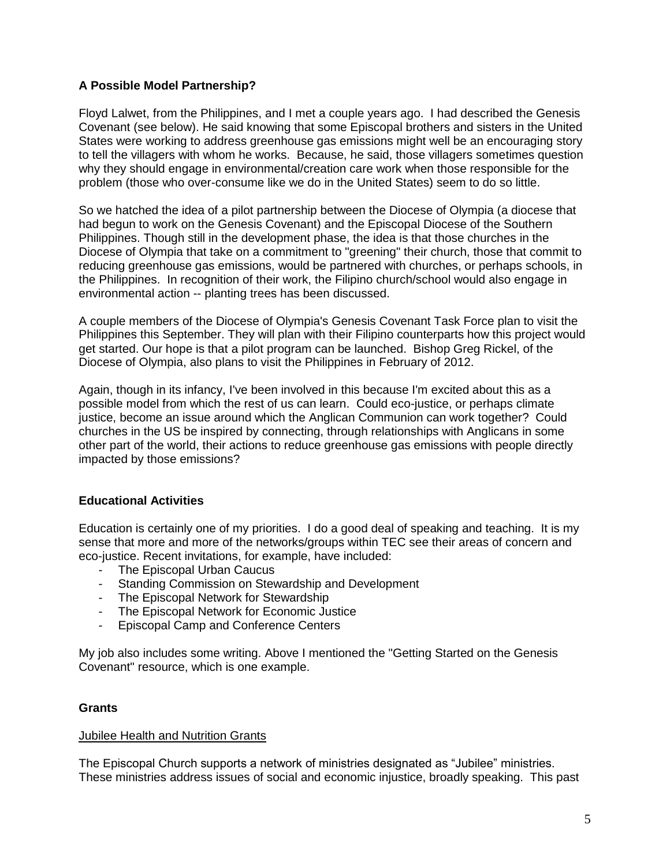# **A Possible Model Partnership?**

Floyd Lalwet, from the Philippines, and I met a couple years ago. I had described the Genesis Covenant (see below). He said knowing that some Episcopal brothers and sisters in the United States were working to address greenhouse gas emissions might well be an encouraging story to tell the villagers with whom he works. Because, he said, those villagers sometimes question why they should engage in environmental/creation care work when those responsible for the problem (those who over-consume like we do in the United States) seem to do so little.

So we hatched the idea of a pilot partnership between the Diocese of Olympia (a diocese that had begun to work on the Genesis Covenant) and the Episcopal Diocese of the Southern Philippines. Though still in the development phase, the idea is that those churches in the Diocese of Olympia that take on a commitment to "greening" their church, those that commit to reducing greenhouse gas emissions, would be partnered with churches, or perhaps schools, in the Philippines. In recognition of their work, the Filipino church/school would also engage in environmental action -- planting trees has been discussed.

A couple members of the Diocese of Olympia's Genesis Covenant Task Force plan to visit the Philippines this September. They will plan with their Filipino counterparts how this project would get started. Our hope is that a pilot program can be launched. Bishop Greg Rickel, of the Diocese of Olympia, also plans to visit the Philippines in February of 2012.

Again, though in its infancy, I've been involved in this because I'm excited about this as a possible model from which the rest of us can learn. Could eco-justice, or perhaps climate justice, become an issue around which the Anglican Communion can work together? Could churches in the US be inspired by connecting, through relationships with Anglicans in some other part of the world, their actions to reduce greenhouse gas emissions with people directly impacted by those emissions?

## **Educational Activities**

Education is certainly one of my priorities. I do a good deal of speaking and teaching. It is my sense that more and more of the networks/groups within TEC see their areas of concern and eco-justice. Recent invitations, for example, have included:

- The Episcopal Urban Caucus
- Standing Commission on Stewardship and Development
- The Episcopal Network for Stewardship
- The Episcopal Network for Economic Justice
- Episcopal Camp and Conference Centers

My job also includes some writing. Above I mentioned the "Getting Started on the Genesis Covenant" resource, which is one example.

## **Grants**

### Jubilee Health and Nutrition Grants

The Episcopal Church supports a network of ministries designated as "Jubilee" ministries. These ministries address issues of social and economic injustice, broadly speaking. This past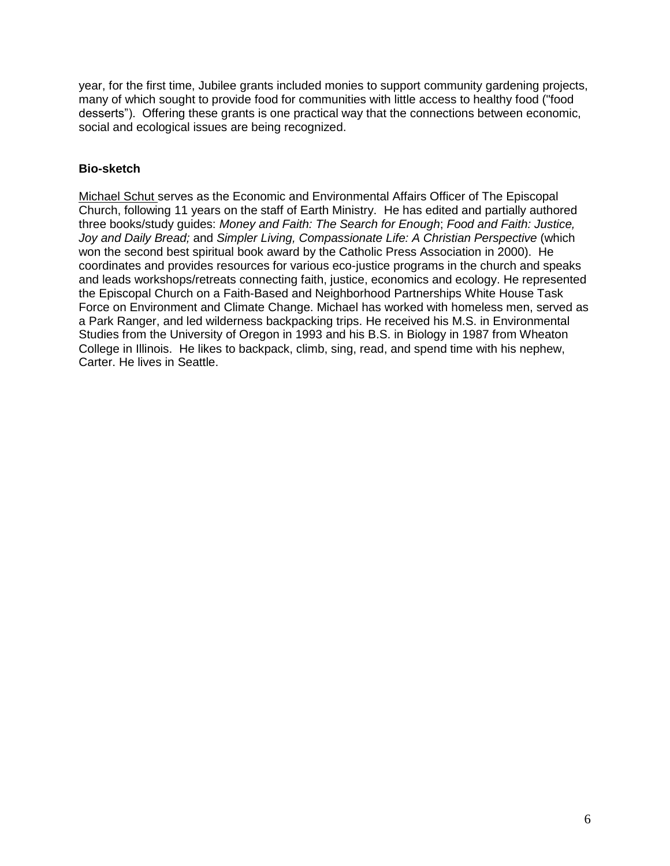year, for the first time, Jubilee grants included monies to support community gardening projects, many of which sought to provide food for communities with little access to healthy food ("food desserts"). Offering these grants is one practical way that the connections between economic, social and ecological issues are being recognized.

## **Bio-sketch**

Michael Schut serves as the Economic and Environmental Affairs Officer of The Episcopal Church, following 11 years on the staff of Earth Ministry. He has edited and partially authored three books/study guides: *Money and Faith: The Search for Enough*; *Food and Faith: Justice, Joy and Daily Bread;* and *Simpler Living, Compassionate Life: A Christian Perspective* (which won the second best spiritual book award by the Catholic Press Association in 2000). He coordinates and provides resources for various eco-justice programs in the church and speaks and leads workshops/retreats connecting faith, justice, economics and ecology. He represented the Episcopal Church on a Faith-Based and Neighborhood Partnerships White House Task Force on Environment and Climate Change. Michael has worked with homeless men, served as a Park Ranger, and led wilderness backpacking trips. He received his M.S. in Environmental Studies from the University of Oregon in 1993 and his B.S. in Biology in 1987 from Wheaton College in Illinois. He likes to backpack, climb, sing, read, and spend time with his nephew, Carter. He lives in Seattle.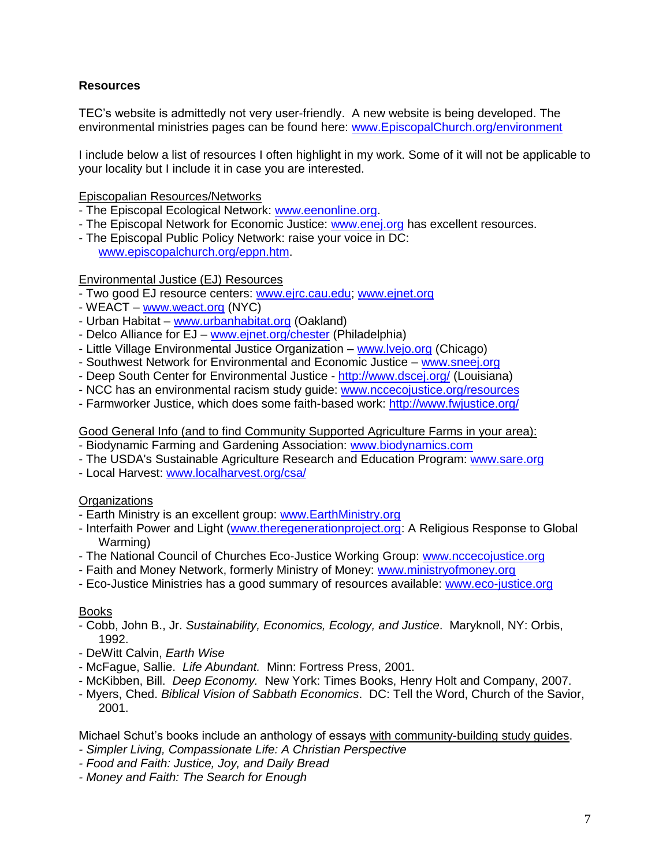# **Resources**

TEC's website is admittedly not very user-friendly. A new website is being developed. The environmental ministries pages can be found here: [www.EpiscopalChurch.org/environment](http://www.episcopalchurch.org/environment)

I include below a list of resources I often highlight in my work. Some of it will not be applicable to your locality but I include it in case you are interested.

Episcopalian Resources/Networks

- The Episcopal Ecological Network: [www.eenonline.org.](http://www.eenonline.org/)
- The Episcopal Network for Economic Justice: [www.enej.org](http://www.enej.org/) has excellent resources.
- The Episcopal Public Policy Network: raise your voice in DC: [www.episcopalchurch.org/eppn.htm.](http://www.episcopalchurch.org/eppn.htm)

### Environmental Justice (EJ) Resources

- Two good EJ resource centers: [www.ejrc.cau.edu;](http://www.ejrc.cau.edu/) [www.ejnet.org](http://www.ejnet.org/)
- WEACT [www.weact.org](http://www.weact.org/) (NYC)
- Urban Habitat [www.urbanhabitat.org](http://www.urbanhabitat.org/) (Oakland)
- Delco Alliance for EJ [www.ejnet.org/chester](http://www.ejnet.org/chester) (Philadelphia)
- Little Village Environmental Justice Organization [www.lvejo.org](http://www.lvejo.org/) (Chicago)
- Southwest Network for Environmental and Economic Justice [www.sneej.org](http://www.sneej.org/)
- Deep South Center for Environmental Justice <http://www.dscej.org/> (Louisiana)
- NCC has an environmental racism study guide: [www.nccecojustice.org/resources](http://www.nccecojustice.org/resources)
- Farmworker Justice, which does some faith-based work:<http://www.fwjustice.org/>

### Good General Info (and to find Community Supported Agriculture Farms in your area):

- Biodynamic Farming and Gardening Association: [www.biodynamics.com](http://www.biodynamics.com/)
- The USDA's Sustainable Agriculture Research and Education Program: [www.sare.org](http://www.sare.org/)
- Local Harvest: [www.localharvest.org/csa/](http://www.localharvest.org/csa/)

## **Organizations**

- Earth Ministry is an excellent group: [www.EarthMinistry.org](http://www.earthministry.org/)
- Interfaith Power and Light [\(www.theregenerationproject.org:](http://www.theregenerationproject.org/) A Religious Response to Global Warming)
- The National Council of Churches Eco-Justice Working Group: [www.nccecojustice.org](http://www.nccecojustice.org/)
- Faith and Money Network, formerly Ministry of Money: [www.ministryofmoney.org](http://www.ministryofmoney.org/)
- Eco-Justice Ministries has a good summary of resources available: [www.eco-justice.org](http://www.eco-justice.org/)

### Books

- Cobb, John B., Jr. *Sustainability, Economics, Ecology, and Justice*. Maryknoll, NY: Orbis, 1992.
- DeWitt Calvin, *Earth Wise*
- McFague, Sallie. *Life Abundant.* Minn: Fortress Press, 2001.
- McKibben, Bill. *Deep Economy.* New York: Times Books, Henry Holt and Company, 2007.
- Myers, Ched. *Biblical Vision of Sabbath Economics*. DC: Tell the Word, Church of the Savior, 2001.

Michael Schut's books include an anthology of essays with community-building study guides.

- *- Simpler Living, Compassionate Life: A Christian Perspective*
- *- Food and Faith: Justice, Joy, and Daily Bread*
- *- Money and Faith: The Search for Enough*